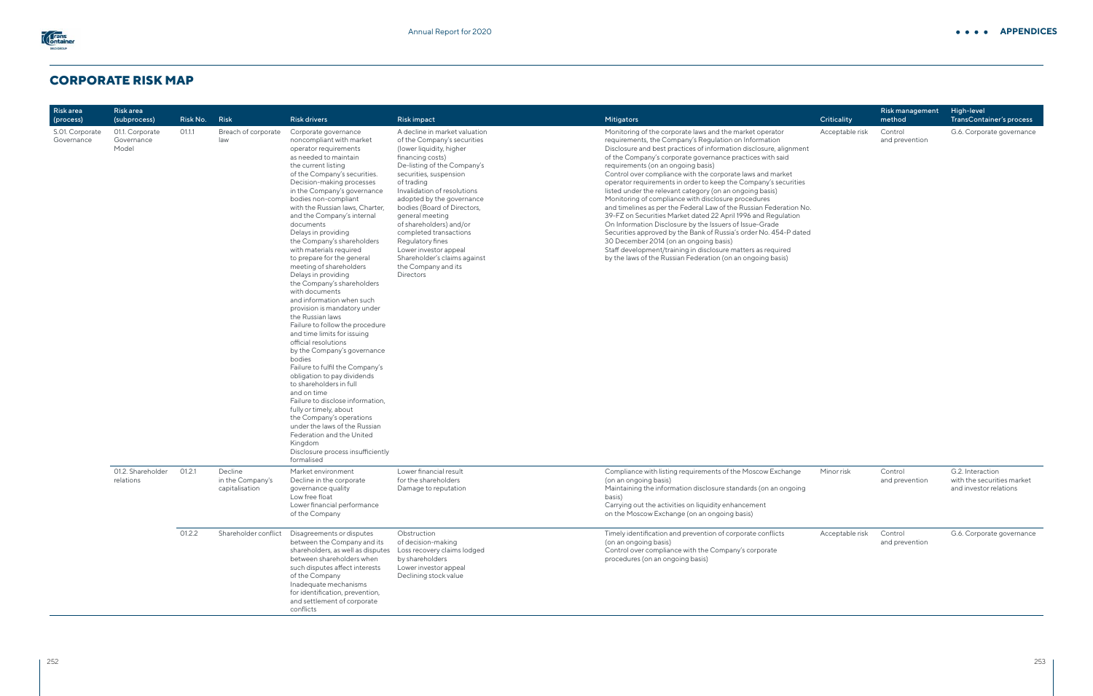## **CORPORATE RISK MAP**

| <b>Riskarea</b><br>(process)  | Risk area<br>(subprocess)              | Risk No. | <b>Risk</b>                                   | <b>Risk drivers</b>                                                                                                                                                                                                                                                                                                                                                                                                                                                                                                                                                                                                                                                                                                                                                                                                                                                                                                                                                                                                                                                                               | <b>Risk impact</b>                                                                                                                                                                                                                                                                                                                                                                                                                                                             | Mitigators                                                                                                                                                                                                                                                                                                                                                                                                                                                                                                                                                                                                                                                                                                                                                                                                                                                                                                                                                                                     | Criticality |
|-------------------------------|----------------------------------------|----------|-----------------------------------------------|---------------------------------------------------------------------------------------------------------------------------------------------------------------------------------------------------------------------------------------------------------------------------------------------------------------------------------------------------------------------------------------------------------------------------------------------------------------------------------------------------------------------------------------------------------------------------------------------------------------------------------------------------------------------------------------------------------------------------------------------------------------------------------------------------------------------------------------------------------------------------------------------------------------------------------------------------------------------------------------------------------------------------------------------------------------------------------------------------|--------------------------------------------------------------------------------------------------------------------------------------------------------------------------------------------------------------------------------------------------------------------------------------------------------------------------------------------------------------------------------------------------------------------------------------------------------------------------------|------------------------------------------------------------------------------------------------------------------------------------------------------------------------------------------------------------------------------------------------------------------------------------------------------------------------------------------------------------------------------------------------------------------------------------------------------------------------------------------------------------------------------------------------------------------------------------------------------------------------------------------------------------------------------------------------------------------------------------------------------------------------------------------------------------------------------------------------------------------------------------------------------------------------------------------------------------------------------------------------|-------------|
| S.01. Corporate<br>Governance | 01.1. Corporate<br>Governance<br>Model | 01.1.1   | Breach of corporate<br>law                    | Corporate governance<br>noncompliant with market<br>operator requirements<br>as needed to maintain<br>the current listing<br>of the Company's securities.<br>Decision-making processes<br>in the Company's governance<br>bodies non-compliant<br>with the Russian laws, Charter,<br>and the Company's internal<br>documents<br>Delays in providing<br>the Company's shareholders<br>with materials required<br>to prepare for the general<br>meeting of shareholders<br>Delays in providing<br>the Company's shareholders<br>with documents<br>and information when such<br>provision is mandatory under<br>the Russian laws<br>Failure to follow the procedure<br>and time limits for issuing<br>official resolutions<br>by the Company's governance<br>bodies<br>Failure to fulfil the Company's<br>obligation to pay dividends<br>to shareholders in full<br>and on time<br>Failure to disclose information,<br>fully or timely, about<br>the Company's operations<br>under the laws of the Russian<br>Federation and the United<br>Kingdom<br>Disclosure process insufficiently<br>formalised | A decline in market valuation<br>of the Company's securities<br>(lower liquidity, higher<br>financing costs)<br>De-listing of the Company's<br>securities, suspension<br>of trading<br>Invalidation of resolutions<br>adopted by the governance<br>bodies (Board of Directors,<br>general meeting<br>of shareholders) and/or<br>completed transactions<br>Regulatory fines<br>Lower investor appeal<br>Shareholder's claims against<br>the Company and its<br><b>Directors</b> | Monitoring of the corporate laws and the market operator<br>requirements, the Company's Regulation on Information<br>Disclosure and best practices of information disclosure, alignment<br>of the Company's corporate governance practices with said<br>requirements (on an ongoing basis)<br>Control over compliance with the corporate laws and market<br>operator requirements in order to keep the Company's securities<br>listed under the relevant category (on an ongoing basis)<br>Monitoring of compliance with disclosure procedures<br>and timelines as per the Federal Law of the Russian Federation No.<br>39-FZ on Securities Market dated 22 April 1996 and Regulation<br>On Information Disclosure by the Issuers of Issue-Grade<br>Securities approved by the Bank of Russia's order No. 454-P dated<br>30 December 2014 (on an ongoing basis)<br>Staff development/training in disclosure matters as required<br>by the laws of the Russian Federation (on an ongoing basis) | Acceptab    |
|                               | 01.2. Shareholder<br>relations         | 01.2.1   | Decline<br>in the Company's<br>capitalisation | Market environment<br>Decline in the corporate<br>governance quality<br>Low free float<br>Lower financial performance<br>of the Company                                                                                                                                                                                                                                                                                                                                                                                                                                                                                                                                                                                                                                                                                                                                                                                                                                                                                                                                                           | Lower financial result<br>for the shareholders<br>Damage to reputation                                                                                                                                                                                                                                                                                                                                                                                                         | Compliance with listing requirements of the Moscow Exchange<br>(on an ongoing basis)<br>Maintaining the information disclosure standards (on an ongoing<br>basis)<br>Carrying out the activities on liquidity enhancement<br>on the Moscow Exchange (on an ongoing basis)                                                                                                                                                                                                                                                                                                                                                                                                                                                                                                                                                                                                                                                                                                                      | Minor risk  |
|                               |                                        | 01.2.2   | Shareholder conflict                          | Disagreements or disputes<br>between the Company and its<br>shareholders, as well as disputes<br>between shareholders when<br>such disputes affect interests<br>of the Company<br>Inadequate mechanisms<br>for identification, prevention,<br>and settlement of corporate<br>conflicts                                                                                                                                                                                                                                                                                                                                                                                                                                                                                                                                                                                                                                                                                                                                                                                                            | Obstruction<br>of decision-making<br>Loss recovery claims lodged<br>by shareholders<br>Lower investor appeal<br>Declining stock value                                                                                                                                                                                                                                                                                                                                          | Timely identification and prevention of corporate conflicts<br>(on an ongoing basis)<br>Control over compliance with the Company's corporate<br>procedures (on an ongoing basis)                                                                                                                                                                                                                                                                                                                                                                                                                                                                                                                                                                                                                                                                                                                                                                                                               | Acceptab    |

|                    |                 | Risk management           | High-level                                           |
|--------------------|-----------------|---------------------------|------------------------------------------------------|
|                    | Criticality     | method                    | TransContainer's process                             |
|                    | Acceptable risk | Control<br>and prevention | G.6. Corporate governance                            |
| <b>Inment</b><br>ſ |                 |                           |                                                      |
| эt<br>urities      |                 |                           |                                                      |
| tion No.<br>tion   |                 |                           |                                                      |
| P dated            |                 |                           |                                                      |
| d                  |                 |                           |                                                      |
|                    |                 |                           |                                                      |
|                    |                 |                           |                                                      |
|                    |                 |                           |                                                      |
|                    |                 |                           |                                                      |
|                    |                 |                           |                                                      |
|                    |                 |                           |                                                      |
|                    |                 |                           |                                                      |
|                    |                 |                           |                                                      |
|                    |                 |                           |                                                      |
|                    |                 |                           |                                                      |
|                    |                 |                           |                                                      |
|                    |                 |                           |                                                      |
| inge               | Minor risk      | Control                   | G.2. Interaction                                     |
| going              |                 | and prevention            | with the securities market<br>and investor relations |
|                    |                 |                           |                                                      |
|                    |                 |                           |                                                      |
|                    | Acceptable risk | Control<br>and prevention | G.6. Corporate governance                            |

**APPENDICES**

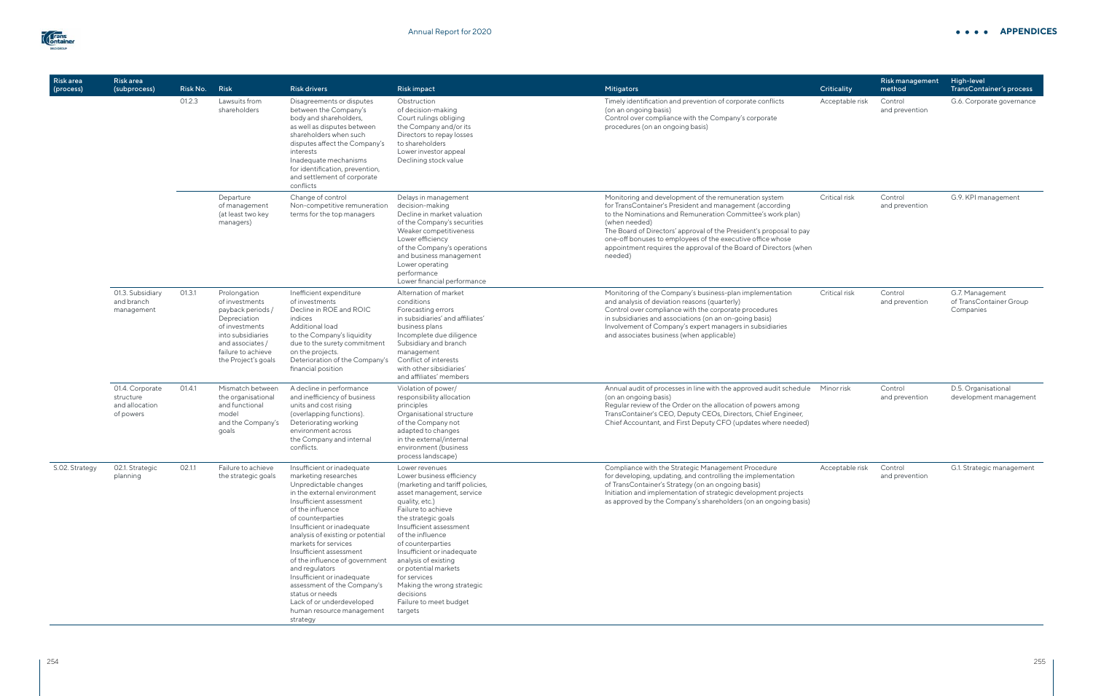| Risk area<br>(process) | Risk area<br>(subprocess)                                   | Risk No. | Risk                                                                                                                                                                        | <b>Risk drivers</b>                                                                                                                                                                                                                                                                                                                                                                                                                                                                                            | <b>Risk impact</b>                                                                                                                                                                                                                                                                                                                                                                                                           | Mitigators                                                                                                                                                                                                                                                                                                                                                                                                            | Criticality                                                                                                                                                                             | <b>Risk management</b><br>method                                                                                                                                                 | High-level<br>TransContainer's process                  |                           |                           |
|------------------------|-------------------------------------------------------------|----------|-----------------------------------------------------------------------------------------------------------------------------------------------------------------------------|----------------------------------------------------------------------------------------------------------------------------------------------------------------------------------------------------------------------------------------------------------------------------------------------------------------------------------------------------------------------------------------------------------------------------------------------------------------------------------------------------------------|------------------------------------------------------------------------------------------------------------------------------------------------------------------------------------------------------------------------------------------------------------------------------------------------------------------------------------------------------------------------------------------------------------------------------|-----------------------------------------------------------------------------------------------------------------------------------------------------------------------------------------------------------------------------------------------------------------------------------------------------------------------------------------------------------------------------------------------------------------------|-----------------------------------------------------------------------------------------------------------------------------------------------------------------------------------------|----------------------------------------------------------------------------------------------------------------------------------------------------------------------------------|---------------------------------------------------------|---------------------------|---------------------------|
|                        | 01.2.3                                                      |          |                                                                                                                                                                             |                                                                                                                                                                                                                                                                                                                                                                                                                                                                                                                | Lawsuits from<br>shareholders                                                                                                                                                                                                                                                                                                                                                                                                | Disagreements or disputes<br>between the Company's<br>body and shareholders,<br>as well as disputes between<br>shareholders when such<br>disputes affect the Company's<br>interests<br>Inadequate mechanisms<br>for identification, prevention,<br>and settlement of corporate<br>conflicts                                                                                                                           | Obstruction<br>of decision-making<br>Court rulings obliging<br>the Company and/or its<br>Directors to repay losses<br>to shareholders<br>Lower investor appeal<br>Declining stock value | Timely identification and prevention of corporate conflicts<br>(on an ongoing basis)<br>Control over compliance with the Company's corporate<br>procedures (on an ongoing basis) | Acceptable risk                                         | Control<br>and prevention | G.6. Corporate governance |
|                        |                                                             |          | Departure<br>of management<br>(at least two key<br>managers)                                                                                                                | Change of control<br>Non-competitive remuneration<br>terms for the top managers                                                                                                                                                                                                                                                                                                                                                                                                                                | Delays in management<br>decision-making<br>Decline in market valuation<br>of the Company's securities<br>Weaker competitiveness<br>Lower efficiency<br>of the Company's operations<br>and business management<br>Lower operating<br>performance<br>Lower financial performance                                                                                                                                               | Monitoring and development of the remuneration system<br>for TransContainer's President and management (according<br>to the Nominations and Remuneration Committee's work plan)<br>(when needed)<br>The Board of Directors' approval of the President's proposal to pay<br>one-off bonuses to employees of the executive office whose<br>appointment requires the approval of the Board of Directors (when<br>needed) | Critical risk                                                                                                                                                                           | Control<br>and prevention                                                                                                                                                        | G.9. KPI management                                     |                           |                           |
|                        | 01.3. Subsidiary<br>and branch<br>management                | 01.3.1   | Prolongation<br>of investments<br>payback periods /<br>Depreciation<br>of investments<br>into subsidiaries<br>and associates /<br>failure to achieve<br>the Project's goals | Inefficient expenditure<br>of investments<br>Decline in ROE and ROIC<br>indices<br><b>Additional load</b><br>to the Company's liquidity<br>due to the surety commitment<br>on the projects.<br>Deterioration of the Company's<br>financial position                                                                                                                                                                                                                                                            | Alternation of market<br>conditions<br>Forecasting errors<br>in subsidiaries' and affiliates'<br>business plans<br>Incomplete due diligence<br>Subsidiary and branch<br>management<br>Conflict of interests<br>with other sibsidiaries'<br>and affiliates' members                                                                                                                                                           | Monitoring of the Company's business-plan implementation<br>and analysis of deviation reasons (quarterly)<br>Control over compliance with the corporate procedures<br>in subsidiaries and associations (on an on-going basis)<br>Involvement of Company's expert managers in subsidiaries<br>and associates business (when applicable)                                                                                | Critical risk                                                                                                                                                                           | Control<br>and prevention                                                                                                                                                        | G.7. Management<br>of TransContainer Group<br>Companies |                           |                           |
|                        | 01.4. Corporate<br>structure<br>and allocation<br>of powers | O1.4.1   | Mismatch between<br>the organisational<br>and functional<br>model<br>and the Company's<br>goals                                                                             | A decline in performance<br>and inefficiency of business<br>units and cost rising<br>(overlapping functions).<br>Deteriorating working<br>environment across<br>the Company and internal<br>conflicts.                                                                                                                                                                                                                                                                                                         | Violation of power/<br>responsibility allocation<br>principles<br>Organisational structure<br>of the Company not<br>adapted to changes<br>in the external/internal<br>environment (business<br>process landscape)                                                                                                                                                                                                            | Annual audit of processes in line with the approved audit schedule<br>(on an ongoing basis)<br>Regular review of the Order on the allocation of powers among<br>TransContainer's CEO, Deputy CEOs, Directors, Chief Engineer,<br>Chief Accountant, and First Deputy CFO (updates where needed)                                                                                                                        | Minor risk                                                                                                                                                                              | Control<br>and prevention                                                                                                                                                        | D.5. Organisational<br>development management           |                           |                           |
| S.O2. Strategy         | 02.1. Strategic<br>planning                                 | 02.1.1   | Failure to achieve<br>the strategic goals                                                                                                                                   | Insufficient or inadequate<br>marketing researches<br>Unpredictable changes<br>in the external environment<br>Insufficient assessment<br>of the influence<br>of counterparties<br>Insufficient or inadequate<br>analysis of existing or potential<br>markets for services<br>Insufficient assessment<br>of the influence of government<br>and regulators<br>Insufficient or inadequate<br>assessment of the Company's<br>status or needs<br>Lack of or underdeveloped<br>human resource management<br>strategy | Lower revenues<br>Lower business efficiency<br>(marketing and tariff policies,<br>asset management, service<br>quality, etc.)<br>Failure to achieve<br>the strategic goals<br>Insufficient assessment<br>of the influence<br>of counterparties<br>Insufficient or inadequate<br>analysis of existing<br>or potential markets<br>for services<br>Making the wrong strategic<br>decisions<br>Failure to meet budget<br>targets | Compliance with the Strategic Management Procedure<br>for developing, updating, and controlling the implementation<br>of TransContainer's Strategy (on an ongoing basis)<br>Initiation and implementation of strategic development projects<br>as approved by the Company's shareholders (on an ongoing basis)                                                                                                        | Acceptable risk                                                                                                                                                                         | Control<br>and prevention                                                                                                                                                        | G.1. Strategic management                               |                           |                           |



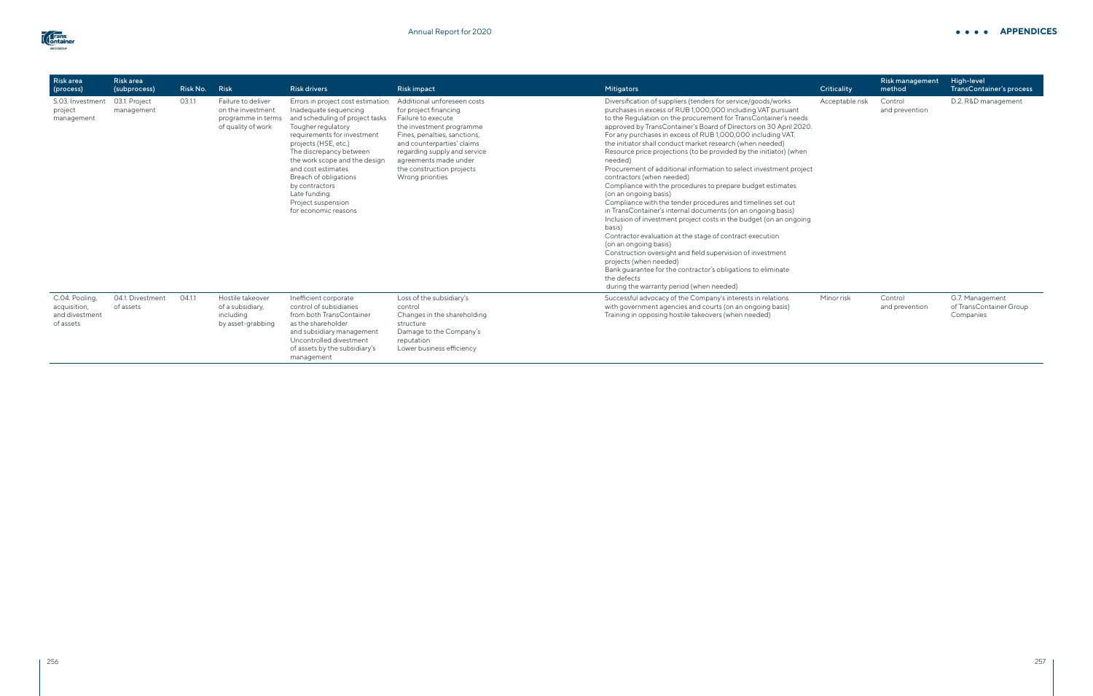| <b>Riskarea</b><br>(process)                                  | <b>Riskarea</b><br>(subprocess) | Risk No. | <b>Risk</b>                                                                         | <b>Risk drivers</b>                                                                                                                                                                                                                                                                                                                                                   | <b>Risk impact</b>                                                                                                                                                                                                                                                             | Mitigators                                                                                                                                                                                                                                                                                                                                                                                                                                                                                                                                                                                                                                                                                                                                                                                                                                                                                                                                                                                                                                                                                                                                                                                         | <b>Criticality</b> |
|---------------------------------------------------------------|---------------------------------|----------|-------------------------------------------------------------------------------------|-----------------------------------------------------------------------------------------------------------------------------------------------------------------------------------------------------------------------------------------------------------------------------------------------------------------------------------------------------------------------|--------------------------------------------------------------------------------------------------------------------------------------------------------------------------------------------------------------------------------------------------------------------------------|----------------------------------------------------------------------------------------------------------------------------------------------------------------------------------------------------------------------------------------------------------------------------------------------------------------------------------------------------------------------------------------------------------------------------------------------------------------------------------------------------------------------------------------------------------------------------------------------------------------------------------------------------------------------------------------------------------------------------------------------------------------------------------------------------------------------------------------------------------------------------------------------------------------------------------------------------------------------------------------------------------------------------------------------------------------------------------------------------------------------------------------------------------------------------------------------------|--------------------|
| S.03. Investment<br>project<br>management                     | 03.1. Project<br>management     | 03.1.1   | Failure to deliver<br>on the investment<br>programme in terms<br>of quality of work | Errors in project cost estimation<br>Inadequate sequencing<br>and scheduling of project tasks<br>Tougher regulatory<br>requirements for investment<br>projects (HSE, etc.)<br>The discrepancy between<br>the work scope and the design<br>and cost estimates<br>Breach of obligations<br>by contractors<br>Late funding<br>Project suspension<br>for economic reasons | Additional unforeseen costs<br>for project financing<br>Failure to execute<br>the investment programme<br>Fines, penalties, sanctions,<br>and counterparties' claims<br>regarding supply and service<br>agreements made under<br>the construction projects<br>Wrong priorities | Diversification of suppliers (tenders for service/goods/works<br>purchases in excess of RUB 1,000,000 including VAT pursuant<br>to the Regulation on the procurement for TransContainer's needs<br>approved by TransContainer's Board of Directors on 30 April 2020.<br>For any purchases in excess of RUB 1,000,000 including VAT,<br>the initiator shall conduct market research (when needed)<br>Resource price projections (to be provided by the initiator) (when<br>needed)<br>Procurement of additional information to select investment project<br>contractors (when needed)<br>Compliance with the procedures to prepare budget estimates<br>(on an ongoing basis)<br>Compliance with the tender procedures and timelines set out<br>in TransContainer's internal documents (on an ongoing basis)<br>Inclusion of investment project costs in the budget (on an ongoing<br>basis)<br>Contractor evaluation at the stage of contract execution<br>(on an ongoing basis)<br>Construction oversight and field supervision of investment<br>projects (when needed)<br>Bank guarantee for the contractor's obligations to eliminate<br>the defects<br>during the warranty period (when needed) | Acceptab           |
| C.04. Pooling,<br>acquisition,<br>and divestment<br>of assets | 04.1. Divestment<br>of assets   | 04.1.1   | Hostile takeover<br>of a subsidiary,<br>including<br>by asset-grabbing              | Inefficient corporate<br>control of subsidiaries<br>from both TransContainer<br>as the shareholder<br>and subsidiary management<br>Uncontrolled divestment<br>of assets by the subsidiary's<br>management                                                                                                                                                             | Loss of the subsidiary's<br>control<br>Changes in the shareholding<br>structure<br>Damage to the Company's<br>reputation<br>Lower business efficiency                                                                                                                          | Successful advocacy of the Company's interests in relations<br>with government agencies and courts (on an ongoing basis)<br>Training in opposing hostile takeovers (when needed)                                                                                                                                                                                                                                                                                                                                                                                                                                                                                                                                                                                                                                                                                                                                                                                                                                                                                                                                                                                                                   | Minor risk         |

|                                      | Criticality     | Risk management<br>method | High-level<br>TransContainer's process                  |
|--------------------------------------|-----------------|---------------------------|---------------------------------------------------------|
| S<br>ant<br>needs<br>il 2020.<br>AT, | Acceptable risk | Control<br>and prevention | D.2. R&D management                                     |
| (when                                |                 |                           |                                                         |
| project                              |                 |                           |                                                         |
| tes                                  |                 |                           |                                                         |
| ut<br>is)<br>ngoing                  |                 |                           |                                                         |
|                                      |                 |                           |                                                         |
|                                      |                 |                           |                                                         |
|                                      | Minor risk      | Control<br>and prevention | G.7. Management<br>of TransContainer Group<br>Companies |